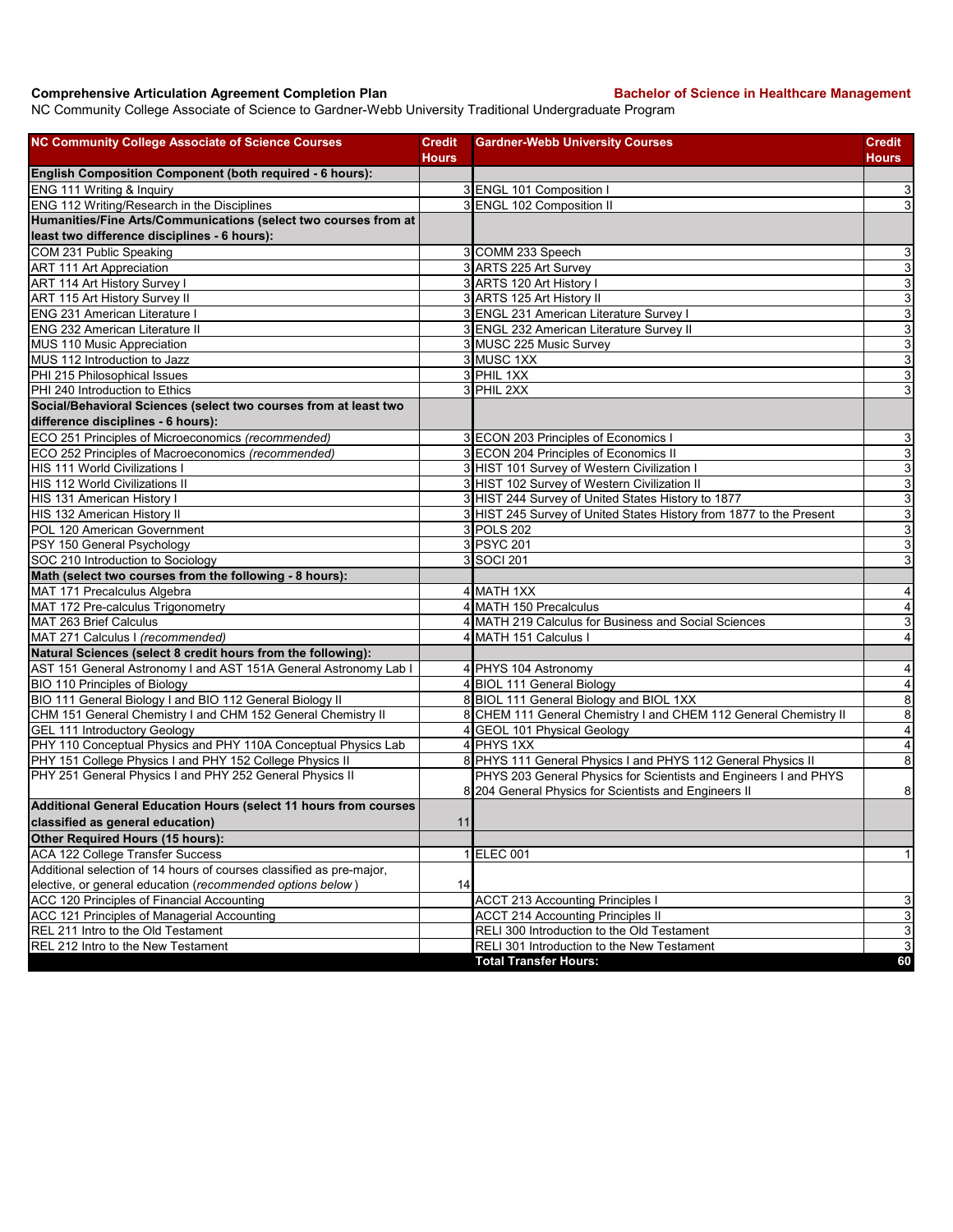## **Comprehensive Articulation Agreement Completion Plan Backelor of Science in Healthcare Management**

NC Community College Associate of Science to Gardner-Webb University Traditional Undergraduate Program

| <b>NC Community College Associate of Science Courses</b>             | <b>Credit</b> | <b>Gardner-Webb University Courses</b>                                     | Credit                    |
|----------------------------------------------------------------------|---------------|----------------------------------------------------------------------------|---------------------------|
|                                                                      | Hours         |                                                                            | Hours                     |
| English Composition Component (both required - 6 hours):             |               |                                                                            |                           |
| ENG 111 Writing & Inquiry                                            |               | 3 ENGL 101 Composition                                                     | $\overline{3}$            |
| ENG 112 Writing/Research in the Disciplines                          |               | 3 ENGL 102 Composition II                                                  | 3                         |
| Humanities/Fine Arts/Communications (select two courses from at      |               |                                                                            |                           |
| least two difference disciplines - 6 hours):                         |               |                                                                            |                           |
| COM 231 Public Speaking                                              |               | 3 COMM 233 Speech                                                          | $\overline{3}$            |
| <b>ART 111 Art Appreciation</b>                                      |               | 3 ARTS 225 Art Survey                                                      | 3                         |
| ART 114 Art History Survey I                                         |               | 3 ARTS 120 Art History I                                                   | $\overline{3}$            |
| ART 115 Art History Survey II                                        |               | 3 ARTS 125 Art History II                                                  | $\overline{3}$            |
| ENG 231 American Literature I                                        |               | 3 ENGL 231 American Literature Survey I                                    | $\mathbf{3}$              |
| <b>ENG 232 American Literature II</b>                                |               | 3 ENGL 232 American Literature Survey II                                   | $\overline{3}$            |
| MUS 110 Music Appreciation                                           |               | 3 MUSC 225 Music Survey                                                    | $\overline{3}$            |
| MUS 112 Introduction to Jazz                                         |               | 3 MUSC 1XX                                                                 | $\ensuremath{\mathsf{3}}$ |
| PHI 215 Philosophical Issues                                         |               | 3 PHIL 1XX                                                                 | $\overline{3}$            |
| PHI 240 Introduction to Ethics                                       |               | 3 PHIL 2XX                                                                 | $\ensuremath{\mathsf{3}}$ |
| Social/Behavioral Sciences (select two courses from at least two     |               |                                                                            |                           |
| difference disciplines - 6 hours):                                   |               |                                                                            |                           |
| ECO 251 Principles of Microeconomics (recommended)                   |               | 3 ECON 203 Principles of Economics I                                       | $\mathsf 3$               |
| ECO 252 Principles of Macroeconomics (recommended)                   |               | 3 ECON 204 Principles of Economics II                                      | $\ensuremath{\mathsf{3}}$ |
| HIS 111 World Civilizations I                                        |               | 3 HIST 101 Survey of Western Civilization I                                | $\mathbf{3}$              |
| HIS 112 World Civilizations II                                       |               | 3 HIST 102 Survey of Western Civilization II                               | $\overline{3}$            |
| HIS 131 American History I                                           |               | 3 HIST 244 Survey of United States History to 1877                         | $\mathbf{3}$              |
| HIS 132 American History II                                          |               | 3 HIST 245 Survey of United States History from 1877 to the Present        | $\overline{3}$            |
| POL 120 American Government                                          |               | 3 POLS 202                                                                 | $\overline{3}$            |
| PSY 150 General Psychology                                           |               | 3 PSYC 201                                                                 | $\overline{3}$            |
| SOC 210 Introduction to Sociology                                    |               | 3 SOCI 201                                                                 | 3                         |
| Math (select two courses from the following - 8 hours):              |               |                                                                            |                           |
| MAT 171 Precalculus Algebra                                          |               | 4 MATH 1XX                                                                 | 4                         |
| MAT 172 Pre-calculus Trigonometry                                    |               | 4 MATH 150 Precalculus                                                     | $\overline{\mathbf{4}}$   |
| MAT 263 Brief Calculus                                               |               | 4 MATH 219 Calculus for Business and Social Sciences                       | $\ensuremath{\mathsf{3}}$ |
| MAT 271 Calculus I (recommended)                                     |               | 4 MATH 151 Calculus I                                                      | $\overline{\mathbf{4}}$   |
| Natural Sciences (select 8 credit hours from the following):         |               |                                                                            |                           |
| AST 151 General Astronomy I and AST 151A General Astronomy Lab I     |               | 4 PHYS 104 Astronomy                                                       | 4                         |
| BIO 110 Principles of Biology                                        |               | 4 BIOL 111 General Biology                                                 | $\overline{4}$            |
| BIO 111 General Biology I and BIO 112 General Biology II             |               | 8 BIOL 111 General Biology and BIOL 1XX                                    | $\bf8$                    |
| CHM 151 General Chemistry I and CHM 152 General Chemistry II         |               | 8 CHEM 111 General Chemistry I and CHEM 112 General Chemistry II           | 8                         |
| <b>GEL 111 Introductory Geology</b>                                  |               | 4 GEOL 101 Physical Geology                                                | $\overline{\mathbf{4}}$   |
| PHY 110 Conceptual Physics and PHY 110A Conceptual Physics Lab       |               | 4 PHYS 1XX                                                                 | $\overline{4}$            |
| PHY 151 College Physics I and PHY 152 College Physics II             |               | 8 PHYS 111 General Physics I and PHYS 112 General Physics II               | 8                         |
| PHY 251 General Physics I and PHY 252 General Physics II             |               | PHYS 203 General Physics for Scientists and Engineers I and PHYS           |                           |
|                                                                      |               | 8 204 General Physics for Scientists and Engineers II                      | $\bf8$                    |
| Additional General Education Hours (select 11 hours from courses     |               |                                                                            |                           |
| classified as general education)                                     | 11            |                                                                            |                           |
| Other Required Hours (15 hours):                                     |               |                                                                            |                           |
| ACA 122 College Transfer Success                                     |               | 1 ELEC 001                                                                 | $\mathbf{1}$              |
| Additional selection of 14 hours of courses classified as pre-major, |               |                                                                            |                           |
| elective, or general education (recommended options below)           | 14            |                                                                            |                           |
| ACC 120 Principles of Financial Accounting                           |               | <b>ACCT 213 Accounting Principles I</b>                                    | 3                         |
| ACC 121 Principles of Managerial Accounting                          |               | <b>ACCT 214 Accounting Principles II</b>                                   | $\overline{3}$            |
| REL 211 Intro to the Old Testament                                   |               | RELI 300 Introduction to the Old Testament                                 | $\ensuremath{\mathsf{3}}$ |
| REL 212 Intro to the New Testament                                   |               | RELI 301 Introduction to the New Testament<br><b>Total Transfer Hours:</b> | 3<br>60                   |